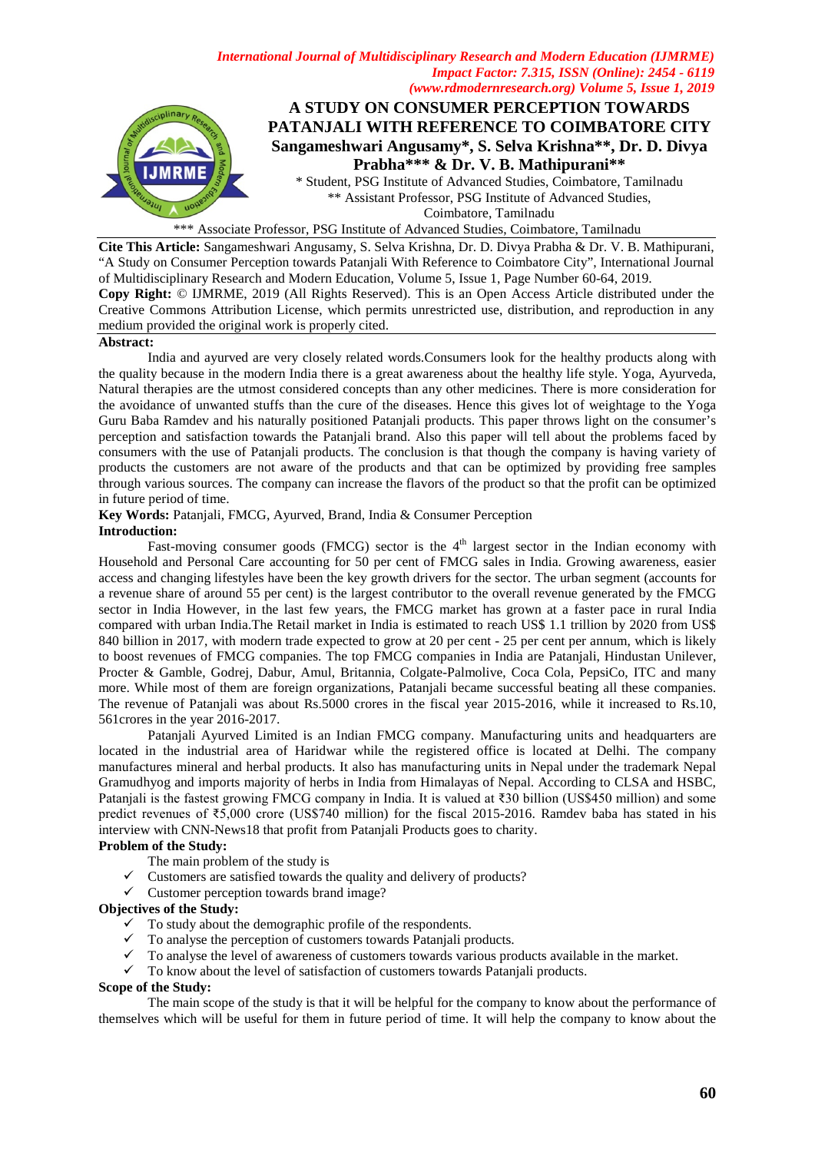

\*\*\* Associate Professor, PSG Institute of Advanced Studies, Coimbatore, Tamilnadu

**Cite This Article:** Sangameshwari Angusamy, S. Selva Krishna, Dr. D. Divya Prabha & Dr. V. B. Mathipurani, "A Study on Consumer Perception towards Patanjali With Reference to Coimbatore City", International Journal of Multidisciplinary Research and Modern Education, Volume 5, Issue 1, Page Number 60-64, 2019. **Copy Right:** © IJMRME, 2019 (All Rights Reserved). This is an Open Access Article distributed under the Creative Commons Attribution License, which permits unrestricted use, distribution, and reproduction in any medium provided the original work is properly cited.

#### **Abstract:**

India and ayurved are very closely related words.Consumers look for the healthy products along with the quality because in the modern India there is a great awareness about the healthy life style. Yoga, Ayurveda, Natural therapies are the utmost considered concepts than any other medicines. There is more consideration for the avoidance of unwanted stuffs than the cure of the diseases. Hence this gives lot of weightage to the Yoga Guru Baba Ramdev and his naturally positioned Patanjali products. This paper throws light on the consumer's perception and satisfaction towards the Patanjali brand. Also this paper will tell about the problems faced by consumers with the use of Patanjali products. The conclusion is that though the company is having variety of products the customers are not aware of the products and that can be optimized by providing free samples through various sources. The company can increase the flavors of the product so that the profit can be optimized in future period of time.

# **Key Words:** Patanjali, FMCG, Ayurved, Brand, India & Consumer Perception

# **Introduction:**

Fast-moving consumer goods (FMCG) sector is the  $4<sup>th</sup>$  largest sector in the Indian economy with Household and Personal Care accounting for 50 per cent of FMCG sales in India. Growing awareness, easier access and changing lifestyles have been the key growth drivers for the sector. The urban segment (accounts for a revenue share of around 55 per cent) is the largest contributor to the overall revenue generated by the FMCG sector in India However, in the last few years, the FMCG market has grown at a faster pace in rural India compared with urban India.The Retail market in India is estimated to reach US\$ 1.1 trillion by 2020 from US\$ 840 billion in 2017, with modern trade expected to grow at 20 per cent - 25 per cent per annum, which is likely to boost revenues of FMCG companies. The top FMCG companies in India are Patanjali, Hindustan Unilever, Procter & Gamble, Godrej, Dabur, Amul, Britannia, Colgate-Palmolive, Coca Cola, PepsiCo, ITC and many more. While most of them are foreign organizations, Patanjali became successful beating all these companies. The revenue of Patanjali was about Rs.5000 crores in the fiscal year 2015-2016, while it increased to Rs.10, 561crores in the year 2016-2017.

Patanjali Ayurved Limited is an Indian FMCG company. Manufacturing units and headquarters are located in the industrial area of Haridwar while the registered office is located at Delhi. The company manufactures mineral and herbal products. It also has manufacturing units in Nepal under the trademark Nepal Gramudhyog and imports majority of herbs in India from Himalayas of Nepal. According to CLSA and HSBC, Patanjali is the fastest growing FMCG company in India. It is valued at ₹30 billion (US\$450 million) and some predict revenues of ₹5,000 crore (US\$740 million) for the fiscal 2015-2016. Ramdev baba has stated in his interview with CNN-News18 that profit from Patanjali Products goes to charity.

# **Problem of the Study:**

- The main problem of the study is
- $\checkmark$  Customers are satisfied towards the quality and delivery of products?
- $\checkmark$  Customer perception towards brand image?

#### **Objectives of the Study:**

- $\checkmark$  To study about the demographic profile of the respondents.
- $\checkmark$  To analyse the perception of customers towards Patanjali products.
- $\checkmark$  To analyse the level of awareness of customers towards various products available in the market.
- $\checkmark$  To know about the level of satisfaction of customers towards Patanjali products.

# **Scope of the Study:**

The main scope of the study is that it will be helpful for the company to know about the performance of themselves which will be useful for them in future period of time. It will help the company to know about the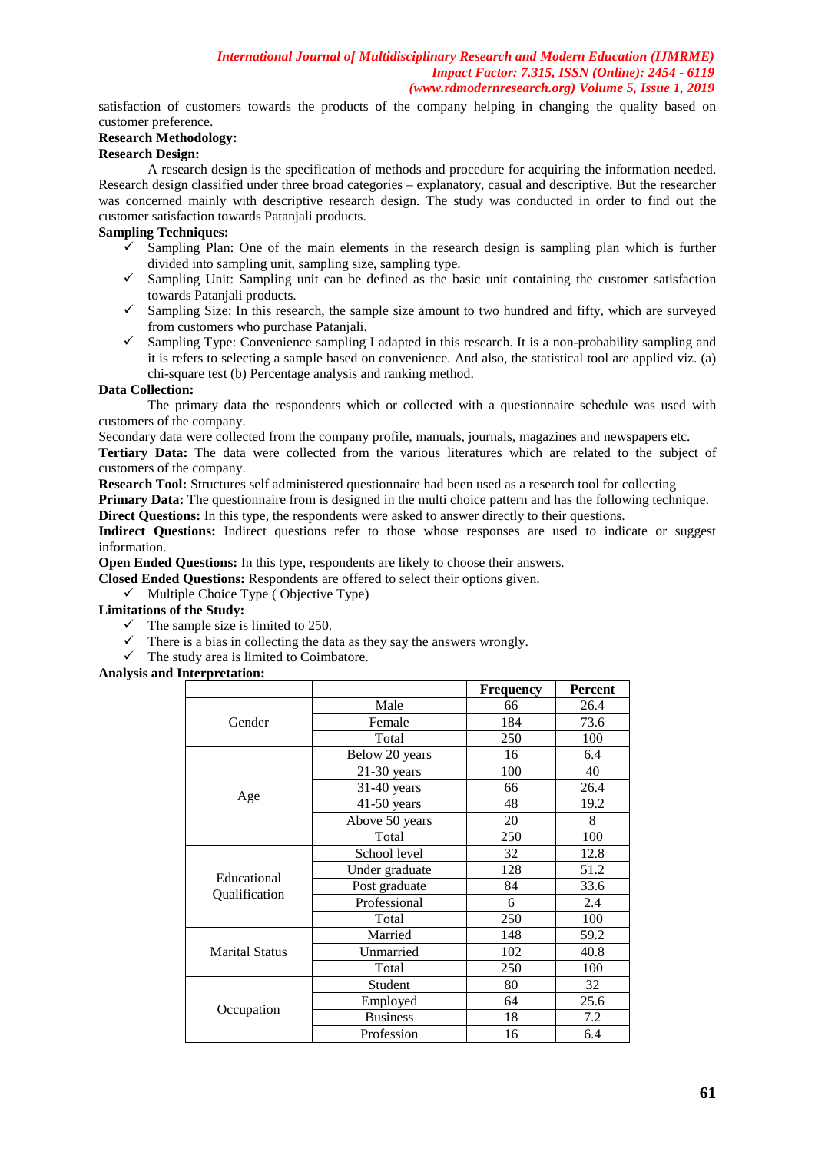satisfaction of customers towards the products of the company helping in changing the quality based on customer preference.

# **Research Methodology:**

# **Research Design:**

A research design is the specification of methods and procedure for acquiring the information needed. Research design classified under three broad categories – explanatory, casual and descriptive. But the researcher was concerned mainly with descriptive research design. The study was conducted in order to find out the customer satisfaction towards Patanjali products.

# **Sampling Techniques:**

- Sampling Plan: One of the main elements in the research design is sampling plan which is further divided into sampling unit, sampling size, sampling type.
- $\checkmark$  Sampling Unit: Sampling unit can be defined as the basic unit containing the customer satisfaction towards Patanjali products.
- $\checkmark$  Sampling Size: In this research, the sample size amount to two hundred and fifty, which are surveyed from customers who purchase Patanjali.
- $\checkmark$  Sampling Type: Convenience sampling I adapted in this research. It is a non-probability sampling and it is refers to selecting a sample based on convenience. And also, the statistical tool are applied viz. (a) chi-square test (b) Percentage analysis and ranking method.

# **Data Collection:**

The primary data the respondents which or collected with a questionnaire schedule was used with customers of the company.

Secondary data were collected from the company profile, manuals, journals, magazines and newspapers etc.

**Tertiary Data:** The data were collected from the various literatures which are related to the subject of customers of the company.

**Research Tool:** Structures self administered questionnaire had been used as a research tool for collecting

**Primary Data:** The questionnaire from is designed in the multi choice pattern and has the following technique. **Direct Questions:** In this type, the respondents were asked to answer directly to their questions.

Indirect Questions: Indirect questions refer to those whose responses are used to indicate or suggest information.

**Open Ended Questions:** In this type, respondents are likely to choose their answers.

**Closed Ended Questions:** Respondents are offered to select their options given.

 $\checkmark$  Multiple Choice Type (Objective Type)

**Limitations of the Study:**

- $\checkmark$  The sample size is limited to 250.
- $\checkmark$  There is a bias in collecting the data as they say the answers wrongly.
- $\checkmark$  The study area is limited to Coimbatore.

**Analysis and Interpretation:**

|                       |                 | <b>Frequency</b> | <b>Percent</b> |
|-----------------------|-----------------|------------------|----------------|
|                       | Male            | 66               | 26.4           |
| Gender                | Female          | 184              | 73.6           |
|                       | Total           | 250              | 100            |
|                       | Below 20 years  | 16               | 6.4            |
|                       | $21-30$ years   | 100              | 40             |
|                       | $31-40$ years   | 66               | 26.4           |
| Age                   | $41-50$ years   | 48               | 19.2           |
|                       | Above 50 years  | 20               | 8              |
|                       | Total           | 250              | 100            |
|                       | School level    | 32               | 12.8           |
| Educational           | Under graduate  | 128              | 51.2           |
| Qualification         | Post graduate   | 84               | 33.6           |
|                       | Professional    | 6                | 2.4            |
|                       | Total           | 250              | 100            |
|                       | Married         | 148              | 59.2           |
| <b>Marital Status</b> | Unmarried       | 102              | 40.8           |
|                       | Total           | 250              | 100            |
|                       | Student         | 80               | 32             |
|                       | Employed        | 64               | 25.6           |
| Occupation            | <b>Business</b> | 18               | 7.2            |
|                       | Profession      | 16               | 6.4            |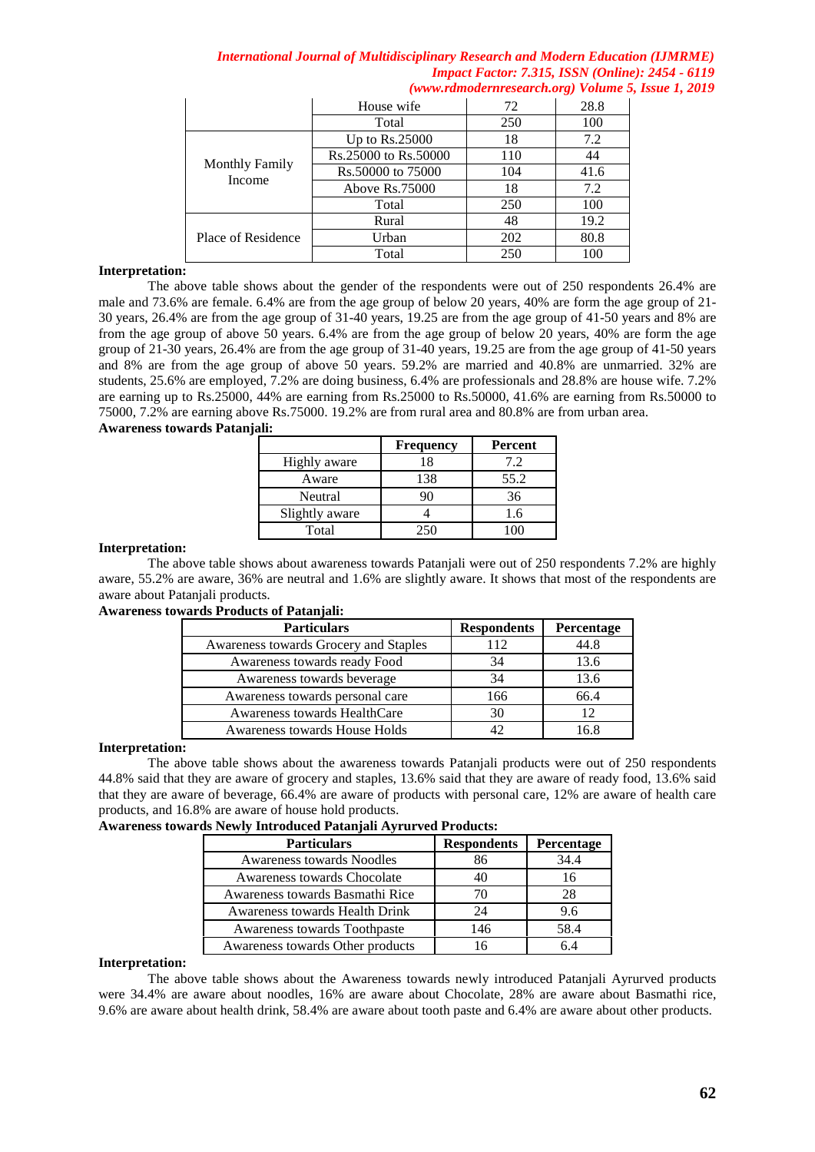|                                 | House wife           | 72  | 28.8 |
|---------------------------------|----------------------|-----|------|
|                                 | Total                | 250 | 100  |
| <b>Monthly Family</b><br>Income | Up to $Rs.25000$     | 18  | 7.2  |
|                                 | Rs.25000 to Rs.50000 | 110 | 44   |
|                                 | Rs.50000 to 75000    | 104 | 41.6 |
|                                 | Above Rs.75000       | 18  | 7.2  |
|                                 | Total                | 250 | 100  |
| Place of Residence              | Rural                | 48  | 19.2 |
|                                 | Urban                | 202 | 80.8 |
|                                 | Total                | 250 | 100  |

### **Interpretation:**

The above table shows about the gender of the respondents were out of 250 respondents 26.4% are male and 73.6% are female. 6.4% are from the age group of below 20 years, 40% are form the age group of 21- 30 years, 26.4% are from the age group of 31-40 years, 19.25 are from the age group of 41-50 years and 8% are from the age group of above 50 years. 6.4% are from the age group of below 20 years, 40% are form the age group of 21-30 years, 26.4% are from the age group of 31-40 years, 19.25 are from the age group of 41-50 years and 8% are from the age group of above 50 years. 59.2% are married and 40.8% are unmarried. 32% are students, 25.6% are employed, 7.2% are doing business, 6.4% are professionals and 28.8% are house wife. 7.2% are earning up to Rs.25000, 44% are earning from Rs.25000 to Rs.50000, 41.6% are earning from Rs.50000 to 75000, 7.2% are earning above Rs.75000. 19.2% are from rural area and 80.8% are from urban area. **Awareness towards Patanjali:**

|                | <b>Frequency</b> | Percent |
|----------------|------------------|---------|
| Highly aware   | 18               | 7.2     |
| Aware          | 138              | 55.2    |
| Neutral        | ۹Λ               | 36      |
| Slightly aware |                  | 1.6     |
| Total          | 250              |         |

#### **Interpretation:**

The above table shows about awareness towards Patanjali were out of 250 respondents 7.2% are highly aware, 55.2% are aware, 36% are neutral and 1.6% are slightly aware. It shows that most of the respondents are aware about Patanjali products.

### **Awareness towards Products of Patanjali:**

| <b>Particulars</b>                    | <b>Respondents</b> | Percentage |
|---------------------------------------|--------------------|------------|
| Awareness towards Grocery and Staples | 112                | 44.8       |
| Awareness towards ready Food          | 34                 | 13.6       |
| Awareness towards beverage            | 34                 | 13.6       |
| Awareness towards personal care       | 166                | 66.4       |
| Awareness towards HealthCare          | 30                 |            |
| Awareness towards House Holds         | 42                 | 16 8       |

# **Interpretation:**

The above table shows about the awareness towards Patanjali products were out of 250 respondents 44.8% said that they are aware of grocery and staples, 13.6% said that they are aware of ready food, 13.6% said that they are aware of beverage, 66.4% are aware of products with personal care, 12% are aware of health care products, and 16.8% are aware of house hold products.

#### **Awareness towards Newly Introduced Patanjali Ayrurved Products:**

| <b>Particulars</b>               | <b>Respondents</b> | Percentage |  |
|----------------------------------|--------------------|------------|--|
| <b>Awareness towards Noodles</b> | 86                 | 34.4       |  |
| Awareness towards Chocolate      |                    | 16         |  |
| Awareness towards Basmathi Rice  | 70                 | 28         |  |
| Awareness towards Health Drink   | 24                 | 9.6        |  |
| Awareness towards Toothpaste     | 146                | 58.4       |  |
| Awareness towards Other products |                    |            |  |

#### **Interpretation:**

The above table shows about the Awareness towards newly introduced Patanjali Ayrurved products were 34.4% are aware about noodles, 16% are aware about Chocolate, 28% are aware about Basmathi rice, 9.6% are aware about health drink, 58.4% are aware about tooth paste and 6.4% are aware about other products.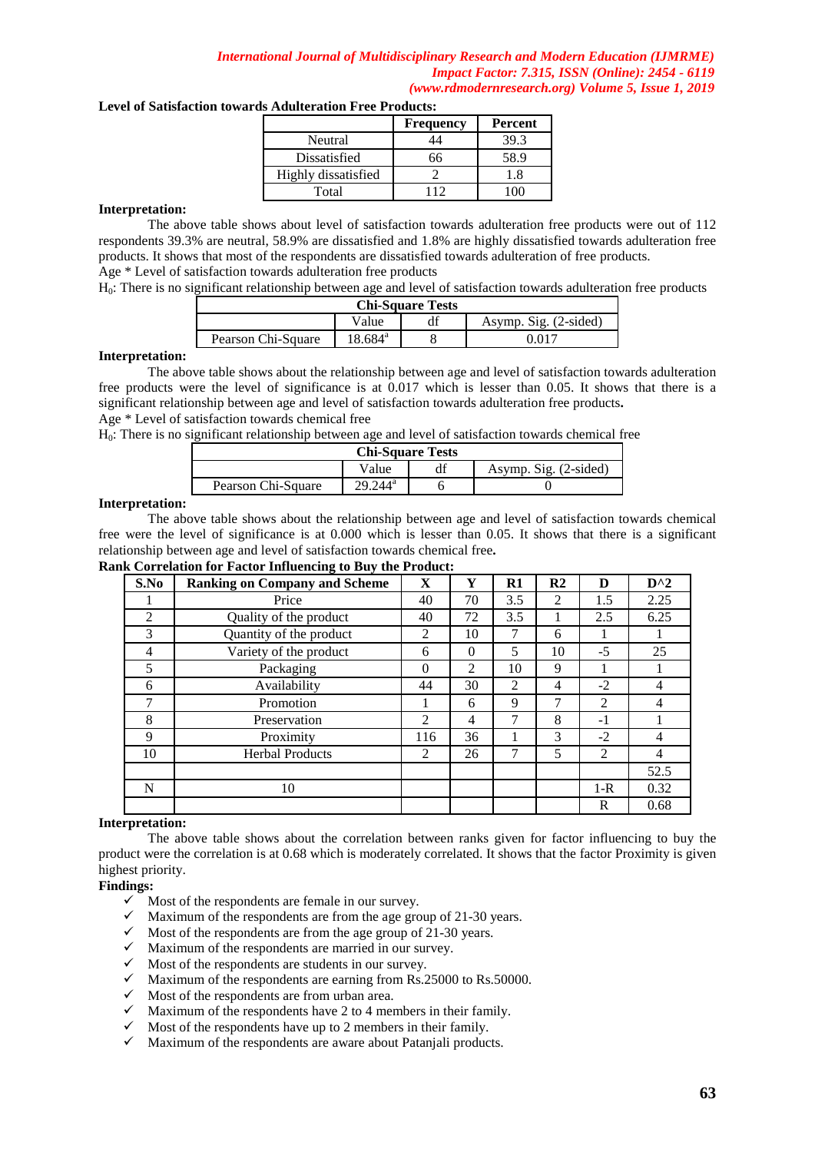### **Level of Satisfaction towards Adulteration Free Products:**

|                     | <b>Frequency</b> | Percent |
|---------------------|------------------|---------|
| Neutral             |                  | 39.3    |
| Dissatisfied        |                  | 58.9    |
| Highly dissatisfied |                  |         |
| Total               |                  |         |

#### **Interpretation:**

The above table shows about level of satisfaction towards adulteration free products were out of 112 respondents 39.3% are neutral, 58.9% are dissatisfied and 1.8% are highly dissatisfied towards adulteration free products. It shows that most of the respondents are dissatisfied towards adulteration of free products. Age \* Level of satisfaction towards adulteration free products

H<sub>0</sub>: There is no significant relationship between age and level of satisfaction towards adulteration free products

| <b>Chi-Square Tests</b>        |                     |  |  |  |  |
|--------------------------------|---------------------|--|--|--|--|
| Asymp. Sig. (2-sided)<br>Value |                     |  |  |  |  |
| Pearson Chi-Square             | 18.684 <sup>a</sup> |  |  |  |  |

#### **Interpretation:**

The above table shows about the relationship between age and level of satisfaction towards adulteration free products were the level of significance is at 0.017 which is lesser than 0.05. It shows that there is a significant relationship between age and level of satisfaction towards adulteration free products**.**  Age \* Level of satisfaction towards chemical free

H0: There is no significant relationship between age and level of satisfaction towards chemical free

| <b>Chi-Square Tests</b> |                       |  |                       |  |  |  |
|-------------------------|-----------------------|--|-----------------------|--|--|--|
|                         | Value                 |  | Asymp. Sig. (2-sided) |  |  |  |
| Pearson Chi-Square      | $.244^{\circ}$<br>ΣO. |  |                       |  |  |  |

#### **Interpretation:**

The above table shows about the relationship between age and level of satisfaction towards chemical free were the level of significance is at 0.000 which is lesser than 0.05. It shows that there is a significant relationship between age and level of satisfaction towards chemical free**.** 

# **Rank Correlation for Factor Influencing to Buy the Product:**

| S.No | <b>Ranking on Company and Scheme</b> | $\mathbf X$ | Y        | $\mathbf{R}1$  | R <sub>2</sub> | D       | $D^{\wedge}2$ |
|------|--------------------------------------|-------------|----------|----------------|----------------|---------|---------------|
|      | Price                                | 40          | 70       | 3.5            | $\overline{2}$ | 1.5     | 2.25          |
| 2    | Quality of the product               | 40          | 72       | 3.5            |                | 2.5     | 6.25          |
| 3    | Quantity of the product              | 2           | 10       | 7              | 6              |         |               |
| 4    | Variety of the product               | 6           | $\Omega$ | 5              | 10             | $-5$    | 25            |
| 5    | Packaging                            | $\Omega$    | 2        | 10             | 9              |         |               |
| 6    | Availability                         | 44          | 30       | $\mathfrak{D}$ | 4              | $-2$    | 4             |
| 7    | Promotion                            |             | 6        | 9              | 7              | 2       | 4             |
| 8    | Preservation                         | 2           | 4        |                | 8              | $-1$    |               |
| 9    | Proximity                            | 116         | 36       |                | 3              | $-2$    | 4             |
| 10   | <b>Herbal Products</b>               | 2           | 26       | 7              | 5              | 2       | 4             |
|      |                                      |             |          |                |                |         | 52.5          |
| N    | 10                                   |             |          |                |                | $1 - R$ | 0.32          |
|      |                                      |             |          |                |                | R       | 0.68          |

#### **Interpretation:**

The above table shows about the correlation between ranks given for factor influencing to buy the product were the correlation is at 0.68 which is moderately correlated. It shows that the factor Proximity is given highest priority.

# **Findings:**

- $\checkmark$  Most of the respondents are female in our survey.
- $\checkmark$  Maximum of the respondents are from the age group of 21-30 years.
- $\checkmark$  Most of the respondents are from the age group of 21-30 years.
- $\checkmark$  Maximum of the respondents are married in our survey.
- $\checkmark$  Most of the respondents are students in our survey.
- $\checkmark$  Maximum of the respondents are earning from Rs.25000 to Rs.50000.
- $\checkmark$  Most of the respondents are from urban area.
- $\checkmark$  Maximum of the respondents have 2 to 4 members in their family.
- $\checkmark$  Most of the respondents have up to 2 members in their family.<br> $\checkmark$  Maximum of the respondents are aware about Pataniali produc
- Maximum of the respondents are aware about Patanjali products.